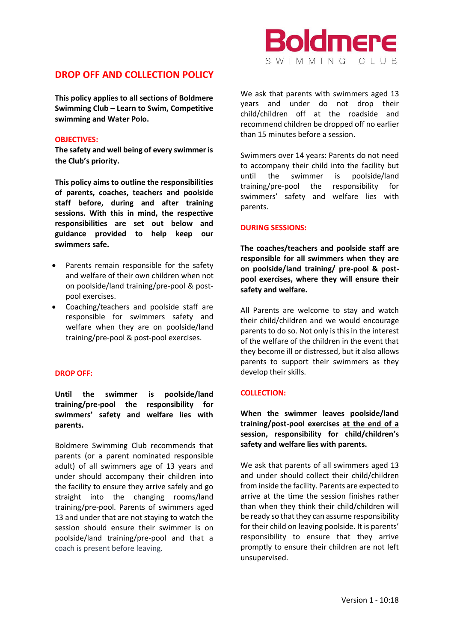# **DROP OFF AND COLLECTION POLICY**

**This policy applies to all sections of Boldmere Swimming Club – Learn to Swim, Competitive swimming and Water Polo.**

### **OBJECTIVES:**

**The safety and well being of every swimmer is the Club's priority.**

**This policy aims to outline the responsibilities of parents, coaches, teachers and poolside staff before, during and after training sessions. With this in mind, the respective responsibilities are set out below and guidance provided to help keep our swimmers safe.**

- Parents remain responsible for the safety and welfare of their own children when not on poolside/land training/pre-pool & postpool exercises.
- Coaching/teachers and poolside staff are responsible for swimmers safety and welfare when they are on poolside/land training/pre-pool & post-pool exercises.

### **DROP OFF:**

## **Until the swimmer is poolside/land training/pre-pool the responsibility for swimmers' safety and welfare lies with parents.**

Boldmere Swimming Club recommends that parents (or a parent nominated responsible adult) of all swimmers age of 13 years and under should accompany their children into the facility to ensure they arrive safely and go straight into the changing rooms/land training/pre-pool. Parents of swimmers aged 13 and under that are not staying to watch the session should ensure their swimmer is on poolside/land training/pre-pool and that a coach is present before leaving.

We ask that parents with swimmers aged 13 years and under do not drop their child/children off at the roadside and recommend children be dropped off no earlier than 15 minutes before a session.

SWIMMING CIUB

**Idmere** 

Swimmers over 14 years: Parents do not need to accompany their child into the facility but until the swimmer is poolside/land training/pre-pool the responsibility for swimmers' safety and welfare lies with parents.

#### **DURING SESSIONS:**

**The coaches/teachers and poolside staff are responsible for all swimmers when they are on poolside/land training/ pre-pool & postpool exercises, where they will ensure their safety and welfare.** 

All Parents are welcome to stay and watch their child/children and we would encourage parents to do so. Not only is this in the interest of the welfare of the children in the event that they become ill or distressed, but it also allows parents to support their swimmers as they develop their skills.

### **COLLECTION:**

**When the swimmer leaves poolside/land training/post-pool exercises at the end of a session, responsibility for child/children's safety and welfare lies with parents.** 

We ask that parents of all swimmers aged 13 and under should collect their child/children from inside the facility. Parents are expected to arrive at the time the session finishes rather than when they think their child/children will be ready so that they can assume responsibility for their child on leaving poolside. It is parents' responsibility to ensure that they arrive promptly to ensure their children are not left unsupervised.